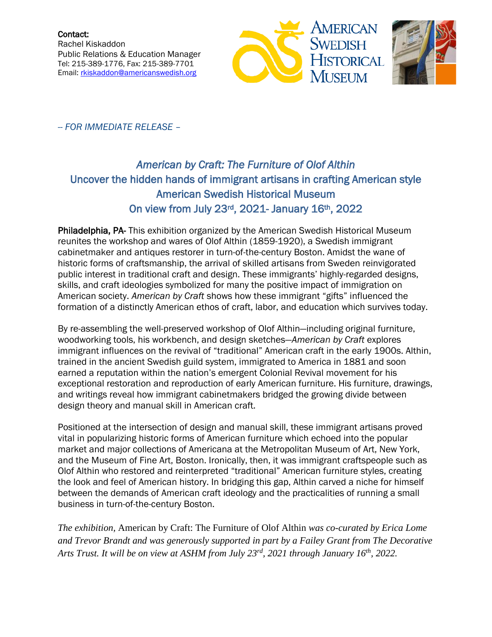



-- *FOR IMMEDIATE RELEASE* –

## *American by Craft: The Furniture of Olof Althin*  Uncover the hidden hands of immigrant artisans in crafting American style American Swedish Historical Museum On view from July 23rd, 2021- January 16th, 2022

Philadelphia, PA- This exhibition organized by the American Swedish Historical Museum reunites the workshop and wares of Olof Althin (1859-1920), a Swedish immigrant cabinetmaker and antiques restorer in turn-of-the-century Boston. Amidst the wane of historic forms of craftsmanship, the arrival of skilled artisans from Sweden reinvigorated public interest in traditional craft and design. These immigrants' highly-regarded designs, skills, and craft ideologies symbolized for many the positive impact of immigration on American society. *American by Craft* shows how these immigrant "gifts" influenced the formation of a distinctly American ethos of craft, labor, and education which survives today.

By re-assembling the well-preserved workshop of Olof Althin—including original furniture, woodworking tools, his workbench, and design sketches—*American by Craft* explores immigrant influences on the revival of "traditional" American craft in the early 1900s. Althin, trained in the ancient Swedish guild system, immigrated to America in 1881 and soon earned a reputation within the nation's emergent Colonial Revival movement for his exceptional restoration and reproduction of early American furniture. His furniture, drawings, and writings reveal how immigrant cabinetmakers bridged the growing divide between design theory and manual skill in American craft.

Positioned at the intersection of design and manual skill, these immigrant artisans proved vital in popularizing historic forms of American furniture which echoed into the popular market and major collections of Americana at the Metropolitan Museum of Art, New York, and the Museum of Fine Art, Boston. Ironically, then, it was immigrant craftspeople such as Olof Althin who restored and reinterpreted "traditional" American furniture styles, creating the look and feel of American history. In bridging this gap, Althin carved a niche for himself between the demands of American craft ideology and the practicalities of running a small business in turn-of-the-century Boston.

*The exhibition,* American by Craft: The Furniture of Olof Althin *was co-curated by Erica Lome and Trevor Brandt and was generously supported in part by a Failey Grant from The Decorative Arts Trust. It will be on view at ASHM from July 23rd, 2021 through January 16th, 2022.*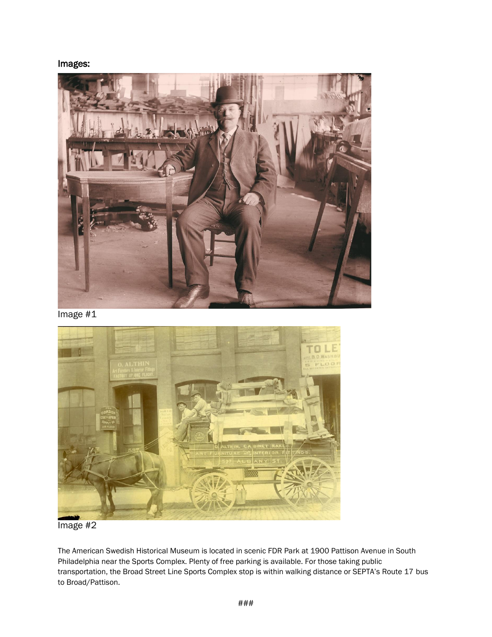Images:



Image #1



Image #2

The American Swedish Historical Museum is located in scenic FDR Park at 1900 Pattison Avenue in South Philadelphia near the Sports Complex. Plenty of free parking is available. For those taking public transportation, the Broad Street Line Sports Complex stop is within walking distance or SEPTA's Route 17 bus to Broad/Pattison.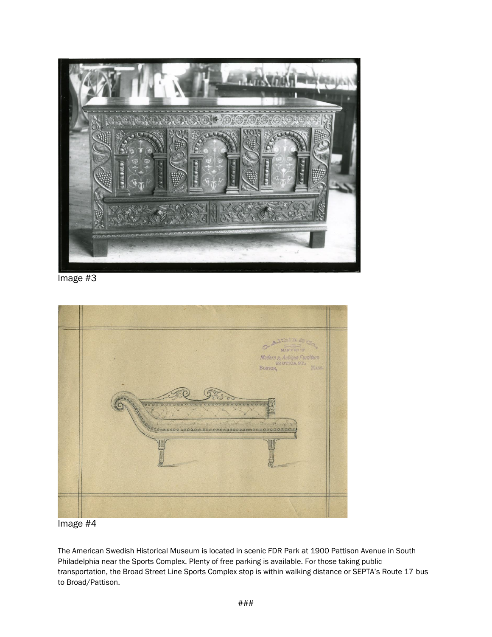

Image #3



## Image #4

The American Swedish Historical Museum is located in scenic FDR Park at 1900 Pattison Avenue in South Philadelphia near the Sports Complex. Plenty of free parking is available. For those taking public transportation, the Broad Street Line Sports Complex stop is within walking distance or SEPTA's Route 17 bus to Broad/Pattison.